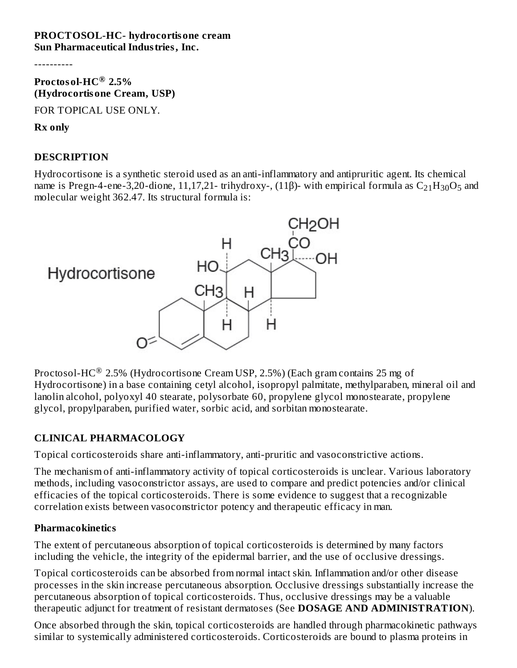#### **PROCTOSOL-HC- hydrocortisone cream Sun Pharmaceutical Industries, Inc.**

----------

**Proctosol-HC 2.5% ® (Hydrocortisone Cream, USP)**

FOR TOPICAL USE ONLY.

**Rx only**

### **DESCRIPTION**

Hydrocortisone is a synthetic steroid used as an anti-inflammatory and antipruritic agent. Its chemical name is Pregn-4-ene-3,20-dione, 11,17,21- trihydroxy-, (11β)- with empirical formula as  $\rm{C}_{21}H_{30}O_5$  and molecular weight 362.47. Its structural formula is:



Proctosol-HC $^{\circledR}$  2.5% (Hydrocortisone Cream USP, 2.5%) (Each gram contains 25 mg of Hydrocortisone) in a base containing cetyl alcohol, isopropyl palmitate, methylparaben, mineral oil and lanolin alcohol, polyoxyl 40 stearate, polysorbate 60, propylene glycol monostearate, propylene glycol, propylparaben, purified water, sorbic acid, and sorbitan monostearate.

# **CLINICAL PHARMACOLOGY**

Topical corticosteroids share anti-inflammatory, anti-pruritic and vasoconstrictive actions.

The mechanism of anti-inflammatory activity of topical corticosteroids is unclear. Various laboratory methods, including vasoconstrictor assays, are used to compare and predict potencies and/or clinical efficacies of the topical corticosteroids. There is some evidence to suggest that a recognizable correlation exists between vasoconstrictor potency and therapeutic efficacy in man.

#### **Pharmacokinetics**

The extent of percutaneous absorption of topical corticosteroids is determined by many factors including the vehicle, the integrity of the epidermal barrier, and the use of occlusive dressings.

Topical corticosteroids can be absorbed from normal intact skin. Inflammation and/or other disease processes in the skin increase percutaneous absorption. Occlusive dressings substantially increase the percutaneous absorption of topical corticosteroids. Thus, occlusive dressings may be a valuable therapeutic adjunct for treatment of resistant dermatoses (See **DOSAGE AND ADMINISTRATION**).

Once absorbed through the skin, topical corticosteroids are handled through pharmacokinetic pathways similar to systemically administered corticosteroids. Corticosteroids are bound to plasma proteins in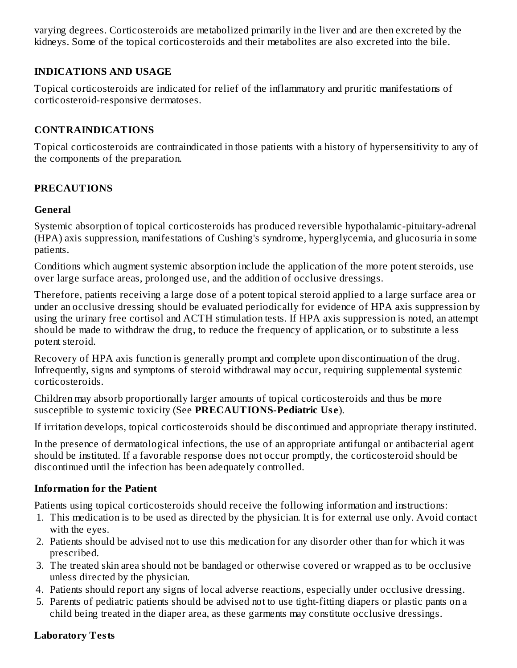varying degrees. Corticosteroids are metabolized primarily in the liver and are then excreted by the kidneys. Some of the topical corticosteroids and their metabolites are also excreted into the bile.

### **INDICATIONS AND USAGE**

Topical corticosteroids are indicated for relief of the inflammatory and pruritic manifestations of corticosteroid-responsive dermatoses.

### **CONTRAINDICATIONS**

Topical corticosteroids are contraindicated in those patients with a history of hypersensitivity to any of the components of the preparation.

#### **PRECAUTIONS**

#### **General**

Systemic absorption of topical corticosteroids has produced reversible hypothalamic-pituitary-adrenal (HPA) axis suppression, manifestations of Cushing's syndrome, hyperglycemia, and glucosuria in some patients.

Conditions which augment systemic absorption include the application of the more potent steroids, use over large surface areas, prolonged use, and the addition of occlusive dressings.

Therefore, patients receiving a large dose of a potent topical steroid applied to a large surface area or under an occlusive dressing should be evaluated periodically for evidence of HPA axis suppression by using the urinary free cortisol and ACTH stimulation tests. If HPA axis suppression is noted, an attempt should be made to withdraw the drug, to reduce the frequency of application, or to substitute a less potent steroid.

Recovery of HPA axis function is generally prompt and complete upon discontinuation of the drug. Infrequently, signs and symptoms of steroid withdrawal may occur, requiring supplemental systemic corticosteroids.

Children may absorb proportionally larger amounts of topical corticosteroids and thus be more susceptible to systemic toxicity (See **PRECAUTIONS-Pediatric Us e**).

If irritation develops, topical corticosteroids should be discontinued and appropriate therapy instituted.

In the presence of dermatological infections, the use of an appropriate antifungal or antibacterial agent should be instituted. If a favorable response does not occur promptly, the corticosteroid should be discontinued until the infection has been adequately controlled.

#### **Information for the Patient**

Patients using topical corticosteroids should receive the following information and instructions:

- 1. This medication is to be used as directed by the physician. It is for external use only. Avoid contact with the eyes.
- 2. Patients should be advised not to use this medication for any disorder other than for which it was prescribed.
- 3. The treated skin area should not be bandaged or otherwise covered or wrapped as to be occlusive unless directed by the physician.
- 4. Patients should report any signs of local adverse reactions, especially under occlusive dressing.
- 5. Parents of pediatric patients should be advised not to use tight-fitting diapers or plastic pants on a child being treated in the diaper area, as these garments may constitute occlusive dressings.

#### **Laboratory Tests**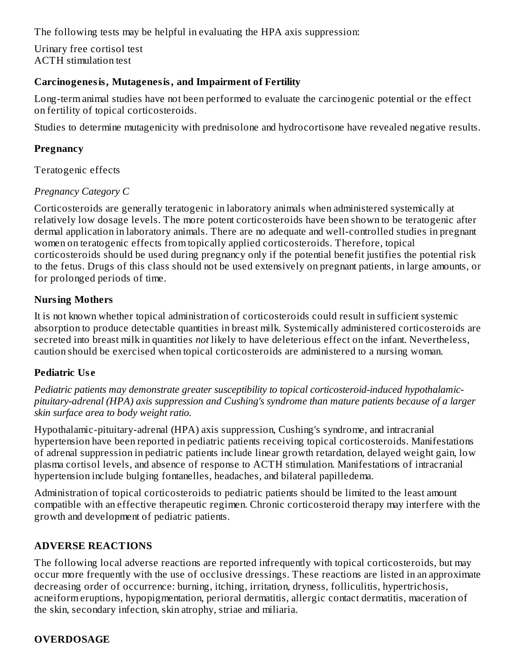The following tests may be helpful in evaluating the HPA axis suppression:

Urinary free cortisol test ACTH stimulation test

### **Carcinogenesis, Mutagenesis, and Impairment of Fertility**

Long-term animal studies have not been performed to evaluate the carcinogenic potential or the effect on fertility of topical corticosteroids.

Studies to determine mutagenicity with prednisolone and hydrocortisone have revealed negative results.

### **Pregnancy**

Teratogenic effects

# *Pregnancy Category C*

Corticosteroids are generally teratogenic in laboratory animals when administered systemically at relatively low dosage levels. The more potent corticosteroids have been shown to be teratogenic after dermal application in laboratory animals. There are no adequate and well-controlled studies in pregnant women on teratogenic effects from topically applied corticosteroids. Therefore, topical corticosteroids should be used during pregnancy only if the potential benefit justifies the potential risk to the fetus. Drugs of this class should not be used extensively on pregnant patients, in large amounts, or for prolonged periods of time.

### **Nursing Mothers**

It is not known whether topical administration of corticosteroids could result in sufficient systemic absorption to produce detectable quantities in breast milk. Systemically administered corticosteroids are secreted into breast milk in quantities *not* likely to have deleterious effect on the infant. Nevertheless, caution should be exercised when topical corticosteroids are administered to a nursing woman.

#### **Pediatric Us e**

*Pediatric patients may demonstrate greater susceptibility to topical corticosteroid-induced hypothalamicpituitary-adrenal (HPA) axis suppression and Cushing's syndrome than mature patients because of a larger skin surface area to body weight ratio.*

Hypothalamic-pituitary-adrenal (HPA) axis suppression, Cushing's syndrome, and intracranial hypertension have been reported in pediatric patients receiving topical corticosteroids. Manifestations of adrenal suppression in pediatric patients include linear growth retardation, delayed weight gain, low plasma cortisol levels, and absence of response to ACTH stimulation. Manifestations of intracranial hypertension include bulging fontanelles, headaches, and bilateral papilledema.

Administration of topical corticosteroids to pediatric patients should be limited to the least amount compatible with an effective therapeutic regimen. Chronic corticosteroid therapy may interfere with the growth and development of pediatric patients.

# **ADVERSE REACTIONS**

The following local adverse reactions are reported infrequently with topical corticosteroids, but may occur more frequently with the use of occlusive dressings. These reactions are listed in an approximate decreasing order of occurrence: burning, itching, irritation, dryness, folliculitis, hypertrichosis, acneiform eruptions, hypopigmentation, perioral dermatitis, allergic contact dermatitis, maceration of the skin, secondary infection, skin atrophy, striae and miliaria.

# **OVERDOSAGE**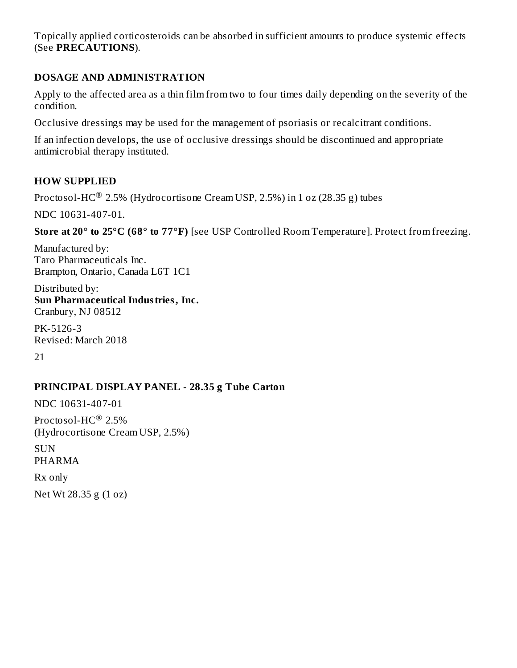Topically applied corticosteroids can be absorbed in sufficient amounts to produce systemic effects (See **PRECAUTIONS**).

### **DOSAGE AND ADMINISTRATION**

Apply to the affected area as a thin film from two to four times daily depending on the severity of the condition.

Occlusive dressings may be used for the management of psoriasis or recalcitrant conditions.

If an infection develops, the use of occlusive dressings should be discontinued and appropriate antimicrobial therapy instituted.

# **HOW SUPPLIED**

Proctosol-HC $^{\circledR}$  2.5% (Hydrocortisone Cream USP, 2.5%) in 1 oz (28.35 g) tubes

NDC 10631-407-01.

**Store at 20° to 25°C (68° to 77°F)** [see USP Controlled Room Temperature]. Protect from freezing.

Manufactured by: Taro Pharmaceuticals Inc. Brampton, Ontario, Canada L6T 1C1

Distributed by: **Sun Pharmaceutical Industries, Inc.** Cranbury, NJ 08512

PK-5126-3 Revised: March 2018

21

# **PRINCIPAL DISPLAY PANEL - 28.35 g Tube Carton**

NDC 10631-407-01 Proctosol-HC $^{\circledR}$  2.5% (Hydrocortisone Cream USP, 2.5%) **SUN** PHARMA Rx only

Net Wt 28.35 g (1 oz)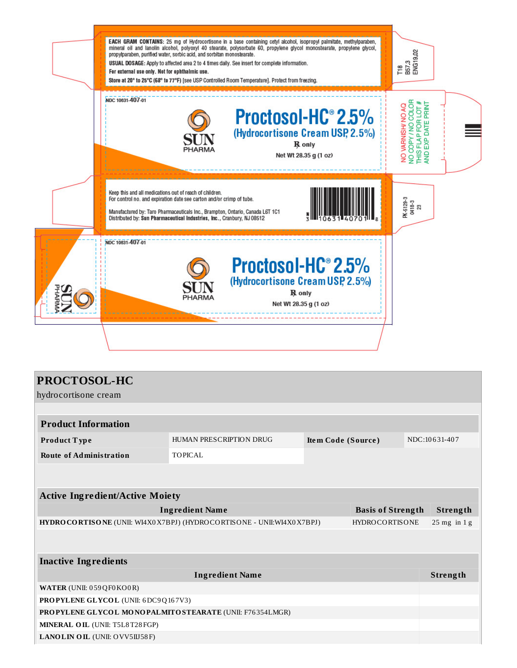

| <b>PROCTOSOL-HC</b>                                                                            |                         |                    |  |  |                  |  |  |  |
|------------------------------------------------------------------------------------------------|-------------------------|--------------------|--|--|------------------|--|--|--|
| hydrocortisone cream                                                                           |                         |                    |  |  |                  |  |  |  |
|                                                                                                |                         |                    |  |  |                  |  |  |  |
| <b>Product Information</b>                                                                     |                         |                    |  |  |                  |  |  |  |
| Product Type                                                                                   | HUMAN PRESCRIPTION DRUG | Item Code (Source) |  |  | NDC:10631-407    |  |  |  |
| <b>Route of Administration</b>                                                                 | <b>TOPICAL</b>          |                    |  |  |                  |  |  |  |
|                                                                                                |                         |                    |  |  |                  |  |  |  |
|                                                                                                |                         |                    |  |  |                  |  |  |  |
| <b>Active Ingredient/Active Moiety</b>                                                         |                         |                    |  |  |                  |  |  |  |
| <b>Ingredient Name</b><br><b>Basis of Strength</b>                                             |                         |                    |  |  | Strength         |  |  |  |
| HYDROCORTISONE (UNII: WI4X0X7BPJ) (HYDROCORTISONE - UNII: WI4X0X7BPJ)<br><b>HYDROCORTISONE</b> |                         |                    |  |  | $25$ mg in $1$ g |  |  |  |
|                                                                                                |                         |                    |  |  |                  |  |  |  |
|                                                                                                |                         |                    |  |  |                  |  |  |  |
| <b>Inactive Ingredients</b>                                                                    |                         |                    |  |  |                  |  |  |  |
|                                                                                                | <b>Ingredient Name</b>  |                    |  |  | Strength         |  |  |  |
| WATER (UNII: 059 QF0 KO0 R)                                                                    |                         |                    |  |  |                  |  |  |  |
| PROPYLENE GLYCOL (UNII: 6DC9Q167V3)                                                            |                         |                    |  |  |                  |  |  |  |
| PROPYLENE GLYCOL MONOPALMITOSTEARATE (UNII: F76354LMGR)                                        |                         |                    |  |  |                  |  |  |  |
| MINERAL OIL (UNII: T5L8T28FGP)                                                                 |                         |                    |  |  |                  |  |  |  |
| LANOLIN OIL (UNII: OVV5IIJ58F)                                                                 |                         |                    |  |  |                  |  |  |  |